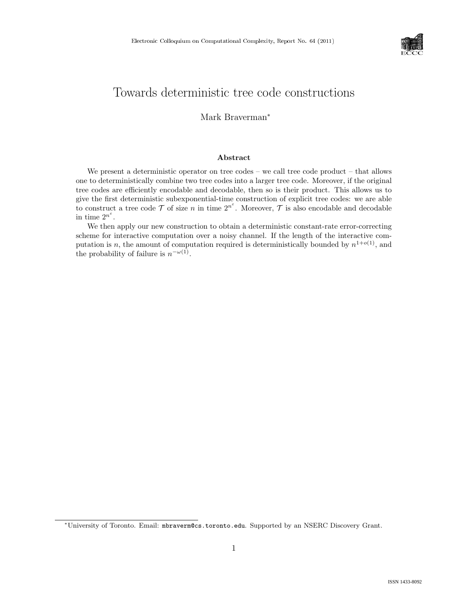

# Towards deterministic tree code constructions

Mark Braverman<sup>∗</sup>

#### Abstract

We present a deterministic operator on tree codes – we call tree code product – that allows one to deterministically combine two tree codes into a larger tree code. Moreover, if the original tree codes are efficiently encodable and decodable, then so is their product. This allows us to give the first deterministic subexponential-time construction of explicit tree codes: we are able to construct a tree code  $\mathcal T$  of size n in time  $2^{n^{\varepsilon}}$ . Moreover,  $\mathcal T$  is also encodable and decodable in time  $2^{n^{\varepsilon}}$ .

We then apply our new construction to obtain a deterministic constant-rate error-correcting scheme for interactive computation over a noisy channel. If the length of the interactive computation is n, the amount of computation required is deterministically bounded by  $n^{1+o(1)}$ , and the probability of failure is  $n^{-\omega(1)}$ .

<sup>∗</sup>University of Toronto. Email: mbraverm@cs.toronto.edu. Supported by an NSERC Discovery Grant.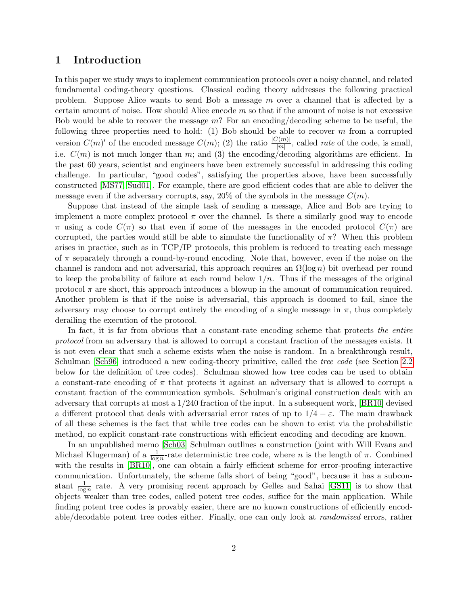## 1 Introduction

In this paper we study ways to implement communication protocols over a noisy channel, and related fundamental coding-theory questions. Classical coding theory addresses the following practical problem. Suppose Alice wants to send Bob a message m over a channel that is affected by a certain amount of noise. How should Alice encode  $m$  so that if the amount of noise is not excessive Bob would be able to recover the message  $m$ ? For an encoding/decoding scheme to be useful, the following three properties need to hold: (1) Bob should be able to recover  $m$  from a corrupted version  $C(m)'$  of the encoded message  $C(m)$ ; (2) the ratio  $\frac{|C(m)|}{|m|}$ , called *rate* of the code, is small, i.e.  $C(m)$  is not much longer than m; and (3) the encoding/decoding algorithms are efficient. In the past 60 years, scientist and engineers have been extremely successful in addressing this coding challenge. In particular, "good codes", satisfying the properties above, have been successfully constructed [\[MS77,](#page--1-0) [Sud01\]](#page--1-1). For example, there are good efficient codes that are able to deliver the message even if the adversary corrupts, say,  $20\%$  of the symbols in the message  $C(m)$ .

Suppose that instead of the simple task of sending a message, Alice and Bob are trying to implement a more complex protocol  $\pi$  over the channel. Is there a similarly good way to encode  $\pi$  using a code  $C(\pi)$  so that even if some of the messages in the encoded protocol  $C(\pi)$  are corrupted, the parties would still be able to simulate the functionality of  $\pi$ ? When this problem arises in practice, such as in TCP/IP protocols, this problem is reduced to treating each message of  $\pi$  separately through a round-by-round encoding. Note that, however, even if the noise on the channel is random and not adversarial, this approach requires an  $\Omega(\log n)$  bit overhead per round to keep the probability of failure at each round below  $1/n$ . Thus if the messages of the original protocol  $\pi$  are short, this approach introduces a blowup in the amount of communication required. Another problem is that if the noise is adversarial, this approach is doomed to fail, since the adversary may choose to corrupt entirely the encoding of a single message in  $\pi$ , thus completely derailing the execution of the protocol.

In fact, it is far from obvious that a constant-rate encoding scheme that protects the entire protocol from an adversary that is allowed to corrupt a constant fraction of the messages exists. It is not even clear that such a scheme exists when the noise is random. In a breakthrough result, Schulman [\[Sch96\]](#page--1-2) introduced a new coding-theory primitive, called the *tree code* (see Section [2.2](#page-3-0)) below for the definition of tree codes). Schulman showed how tree codes can be used to obtain a constant-rate encoding of  $\pi$  that protects it against an adversary that is allowed to corrupt a constant fraction of the communication symbols. Schulman's original construction dealt with an adversary that corrupts at most a 1/240 fraction of the input. In a subsequent work, [\[BR10\]](#page--1-3) devised a different protocol that deals with adversarial error rates of up to  $1/4 - \varepsilon$ . The main drawback of all these schemes is the fact that while tree codes can be shown to exist via the probabilistic method, no explicit constant-rate constructions with efficient encoding and decoding are known.

In an unpublished memo [\[Sch03\]](#page--1-4) Schulman outlines a construction (joint with Will Evans and Michael Klugerman) of a  $\frac{1}{\log n}$ -rate deterministic tree code, where *n* is the length of  $\pi$ . Combined with the results in [\[BR10\]](#page--1-3), one can obtain a fairly efficient scheme for error-proofing interactive communication. Unfortunately, the scheme falls short of being "good", because it has a subconstant  $\frac{1}{\log n}$  rate. A very promising recent approach by Gelles and Sahai [\[GS11\]](#page--1-5) is to show that objects weaker than tree codes, called potent tree codes, suffice for the main application. While finding potent tree codes is provably easier, there are no known constructions of efficiently encodable/decodable potent tree codes either. Finally, one can only look at randomized errors, rather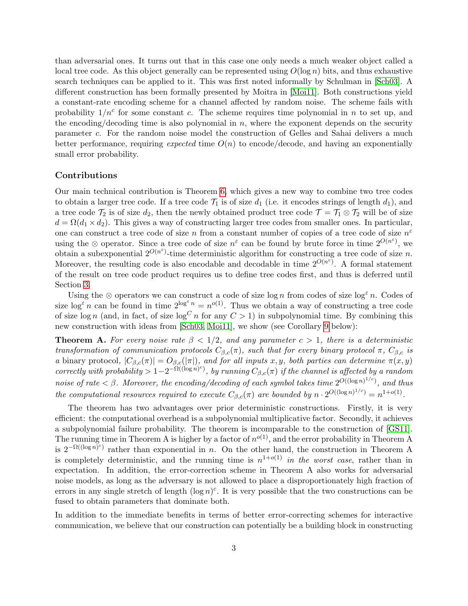than adversarial ones. It turns out that in this case one only needs a much weaker object called a local tree code. As this object generally can be represented using  $O(\log n)$  bits, and thus exhaustive search techniques can be applied to it. This was first noted informally by Schulman in [\[Sch03\]](#page--1-4). A different construction has been formally presented by Moitra in [\[Moi11\]](#page--1-6). Both constructions yield a constant-rate encoding scheme for a channel affected by random noise. The scheme fails with probability  $1/n^c$  for some constant c. The scheme requires time polynomial in n to set up, and the encoding/decoding time is also polynomial in  $n$ , where the exponent depends on the security parameter c. For the random noise model the construction of Gelles and Sahai delivers a much better performance, requiring *expected* time  $O(n)$  to encode/decode, and having an exponentially small error probability.

### Contributions

Our main technical contribution is Theorem [6,](#page-6-0) which gives a new way to combine two tree codes to obtain a larger tree code. If a tree code  $\mathcal{T}_1$  is of size  $d_1$  (i.e. it encodes strings of length  $d_1$ ), and a tree code  $\mathcal{T}_2$  is of size  $d_2$ , then the newly obtained product tree code  $\mathcal{T} = \mathcal{T}_1 \otimes \mathcal{T}_2$  will be of size  $d = \Omega(d_1 \times d_2)$ . This gives a way of constructing larger tree codes from smaller ones. In particular, one can construct a tree code of size n from a constant number of copies of a tree code of size  $n^{\varepsilon}$ using the  $\otimes$  operator. Since a tree code of size  $n^{\varepsilon}$  can be found by brute force in time  $2^{O(n^{\varepsilon})}$ , we obtain a subexponential  $2^{O(n^{\epsilon})}$ -time deterministic algorithm for constructing a tree code of size n. Moreover, the resulting code is also encodable and decodable in time  $2^{O(n^{\epsilon})}$ . A formal statement of the result on tree code product requires us to define tree codes first, and thus is deferred until Section [3.](#page-5-0)

Using the ⊗ operators we can construct a code of size log n from codes of size log<sup> $\varepsilon$ </sup>n. Codes of size  $\log^{\varepsilon} n$  can be found in time  $2^{\log^{\varepsilon} n} = n^{o(1)}$ . Thus we obtain a way of constructing a tree code of size log n (and, in fact, of size  $\log^C n$  for any  $C > 1$ ) in subpolynomial time. By combining this new construction with ideas from [\[Sch03,](#page--1-4) [Moi11\]](#page--1-6), we show (see Corollary [9](#page-10-0) below):

**Theorem A.** For every noise rate  $\beta < 1/2$ , and any parameter  $c > 1$ , there is a deterministic transformation of communication protocols  $C_{\beta,c}(\pi)$ , such that for every binary protocol  $\pi$ ,  $C_{\beta,c}$  is a binary protocol,  $|C_{\beta,c}(\pi)| = O_{\beta,c}(|\pi|)$ , and for all inputs x, y, both parties can determine  $\pi(x, y)$ correctly with probability >  $1-2^{-\Omega((\log n)^c)}$ , by running  $C_{\beta,c}(\pi)$  if the channel is affected by a random noise of rate  $\lt \beta$ . Moreover, the encoding/decoding of each symbol takes time  $2^{O((\log n)^{1/c})}$ , and thus the computational resources required to execute  $C_{\beta,c}(\pi)$  are bounded by  $n \cdot 2^{O((\log n)^{1/c})} = n^{1+o(1)}$ .

The theorem has two advantages over prior deterministic constructions. Firstly, it is very efficient: the computational overhead is a subpolynomial multiplicative factor. Secondly, it achieves a subpolynomial failure probability. The theorem is incomparable to the construction of [\[GS11\]](#page--1-5). The running time in Theorem A is higher by a factor of  $n^{o(1)}$ , and the error probability in Theorem A is  $2^{-\Omega((\log n)^c)}$  rather than exponential in n. On the other hand, the construction in Theorem A is completely deterministic, and the running time is  $n^{1+o(1)}$  in the worst case, rather than in expectation. In addition, the error-correction scheme in Theorem A also works for adversarial noise models, as long as the adversary is not allowed to place a disproportionately high fraction of errors in any single stretch of length  $(\log n)^c$ . It is very possible that the two constructions can be fused to obtain parameters that dominate both.

In addition to the immediate benefits in terms of better error-correcting schemes for interactive communication, we believe that our construction can potentially be a building block in constructing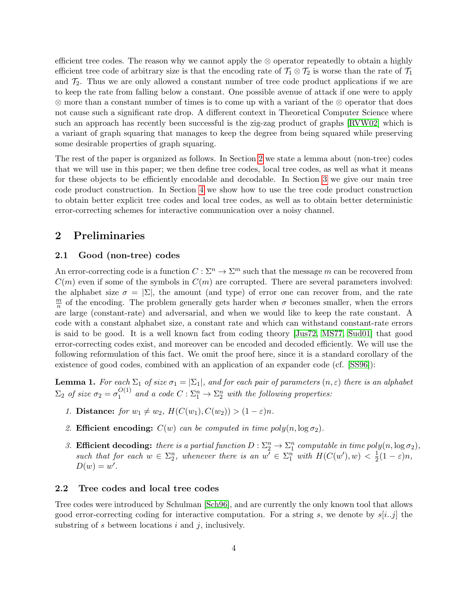efficient tree codes. The reason why we cannot apply the  $\otimes$  operator repeatedly to obtain a highly efficient tree code of arbitrary size is that the encoding rate of  $\mathcal{T}_1 \otimes \mathcal{T}_2$  is worse than the rate of  $\mathcal{T}_1$ and  $\mathcal{T}_2$ . Thus we are only allowed a constant number of tree code product applications if we are to keep the rate from falling below a constant. One possible avenue of attack if one were to apply ⊗ more than a constant number of times is to come up with a variant of the ⊗ operator that does not cause such a significant rate drop. A different context in Theoretical Computer Science where such an approach has recently been successful is the zig-zag product of graphs [\[RVW02\]](#page--1-7) which is a variant of graph squaring that manages to keep the degree from being squared while preserving some desirable properties of graph squaring.

The rest of the paper is organized as follows. In Section [2](#page-3-1) we state a lemma about (non-tree) codes that we will use in this paper; we then define tree codes, local tree codes, as well as what it means for these objects to be efficiently encodable and decodable. In Section [3](#page-5-0) we give our main tree code product construction. In Section [4](#page-9-0) we show how to use the tree code product construction to obtain better explicit tree codes and local tree codes, as well as to obtain better deterministic error-correcting schemes for interactive communication over a noisy channel.

### <span id="page-3-1"></span>2 Preliminaries

### 2.1 Good (non-tree) codes

An error-correcting code is a function  $C: \Sigma^n \to \Sigma^m$  such that the message m can be recovered from  $C(m)$  even if some of the symbols in  $C(m)$  are corrupted. There are several parameters involved: the alphabet size  $\sigma = |\Sigma|$ , the amount (and type) of error one can recover from, and the rate  $\overline{m}$  $\frac{m}{n}$  of the encoding. The problem generally gets harder when  $\sigma$  becomes smaller, when the errors are large (constant-rate) and adversarial, and when we would like to keep the rate constant. A code with a constant alphabet size, a constant rate and which can withstand constant-rate errors is said to be good. It is a well known fact from coding theory [\[Jus72,](#page--1-8) [MS77,](#page--1-0) [Sud01\]](#page--1-1) that good error-correcting codes exist, and moreover can be encoded and decoded efficiently. We will use the following reformulation of this fact. We omit the proof here, since it is a standard corollary of the existence of good codes, combined with an application of an expander code (cf. [\[SS96\]](#page--1-9)):

<span id="page-3-2"></span>**Lemma 1.** For each  $\Sigma_1$  of size  $\sigma_1 = |\Sigma_1|$ , and for each pair of parameters  $(n, \varepsilon)$  there is an alphabet  $\Sigma_2$  of size  $\sigma_2 = \sigma_1^{O(1)}$  $_1^{O(1)}$  and a code  $C:\Sigma_1^n\to\Sigma_2^n$  with the following properties:

- 1. **Distance:** for  $w_1 \neq w_2$ ,  $H(C(w_1), C(w_2)) > (1 \varepsilon)n$ .
- 2. Efficient encoding:  $C(w)$  can be computed in time poly $(n, \log \sigma_2)$ .
- 3. **Efficient decoding:** there is a partial function  $D: \Sigma_2^n \to \Sigma_1^n$  computable in time  $poly(n, \log \sigma_2)$ , such that for each  $w \in \Sigma_2^n$ , whenever there is an  $w' \in \Sigma_1^n$  with  $H(C(w'), w) < \frac{1}{2}$  $rac{1}{2}(1-\varepsilon)n,$  $D(w) = w'.$

### <span id="page-3-0"></span>2.2 Tree codes and local tree codes

Tree codes were introduced by Schulman [\[Sch96\]](#page--1-2), and are currently the only known tool that allows good error-correcting coding for interactive computation. For a string s, we denote by  $s[i..j]$  the substring of  $s$  between locations  $i$  and  $j$ , inclusively.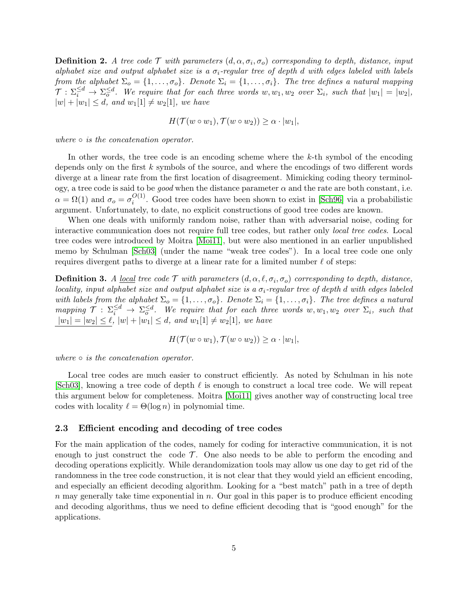**Definition 2.** A tree code  $\mathcal T$  with parameters  $(d, \alpha, \sigma_i, \sigma_o)$  corresponding to depth, distance, input alphabet size and output alphabet size is a  $\sigma_i$ -regular tree of depth d with edges labeled with labels from the alphabet  $\Sigma_o = \{1, \ldots, \sigma_o\}$ . Denote  $\Sigma_i = \{1, \ldots, \sigma_i\}$ . The tree defines a natural mapping  $\mathcal{T}: \Sigma_i^{\leq d} \to \Sigma_{o}^{\leq d}$ . We require that for each three words  $w, w_1, w_2$  over  $\Sigma_i$ , such that  $|w_1| = |w_2|$ ,  $|w| + |w_1| \leq d$ , and  $w_1[1] \neq w_2[1]$ , we have

$$
H(\mathcal{T}(w \circ w_1), \mathcal{T}(w \circ w_2)) \geq \alpha \cdot |w_1|,
$$

where  $\circ$  is the concatenation operator.

In other words, the tree code is an encoding scheme where the k-th symbol of the encoding depends only on the first k symbols of the source, and where the encodings of two different words diverge at a linear rate from the first location of disagreement. Mimicking coding theory terminology, a tree code is said to be good when the distance parameter  $\alpha$  and the rate are both constant, i.e.  $\alpha = \Omega(1)$  and  $\sigma_o = \sigma_i^{O(1)}$  $\frac{O(1)}{i}$ . Good tree codes have been shown to exist in [\[Sch96\]](#page--1-2) via a probabilistic argument. Unfortunately, to date, no explicit constructions of good tree codes are known.

When one deals with uniformly random noise, rather than with adversarial noise, coding for interactive communication does not require full tree codes, but rather only local tree codes. Local tree codes were introduced by Moitra [\[Moi11\]](#page--1-6), but were also mentioned in an earlier unpublished memo by Schulman [\[Sch03\]](#page--1-4) (under the name "weak tree codes"). In a local tree code one only requires divergent paths to diverge at a linear rate for a limited number  $\ell$  of steps:

**Definition 3.** A <u>local</u> tree code  $\mathcal T$  with parameters  $(d, \alpha, \ell, \sigma_i, \sigma_o)$  corresponding to depth, distance, locality, input alphabet size and output alphabet size is a  $\sigma_i$ -regular tree of depth d with edges labeled with labels from the alphabet  $\Sigma_o = \{1, \ldots, \sigma_o\}$ . Denote  $\Sigma_i = \{1, \ldots, \sigma_i\}$ . The tree defines a natural mapping  $\mathcal{T}$  :  $\Sigma_i^{\leq d}$   $\to \Sigma_0^{\leq d}$ . We require that for each three words w,  $w_1, w_2$  over  $\Sigma_i$ , such that  $|w_1| = |w_2| \leq \ell, |w| + |w_1| \leq d, \text{ and } w_1[1] \neq w_2[1], \text{ we have}$ 

$$
H(\mathcal{T}(w \circ w_1), \mathcal{T}(w \circ w_2)) \geq \alpha \cdot |w_1|,
$$

where  $\circ$  is the concatenation operator.

Local tree codes are much easier to construct efficiently. As noted by Schulman in his note [\[Sch03\]](#page--1-4), knowing a tree code of depth  $\ell$  is enough to construct a local tree code. We will repeat this argument below for completeness. Moitra [\[Moi11\]](#page--1-6) gives another way of constructing local tree codes with locality  $\ell = \Theta(\log n)$  in polynomial time.

#### 2.3 Efficient encoding and decoding of tree codes

For the main application of the codes, namely for coding for interactive communication, it is not enough to just construct the code  $\mathcal T$ . One also needs to be able to perform the encoding and decoding operations explicitly. While derandomization tools may allow us one day to get rid of the randomness in the tree code construction, it is not clear that they would yield an efficient encoding, and especially an efficient decoding algorithm. Looking for a "best match" path in a tree of depth  $n$  may generally take time exponential in  $n$ . Our goal in this paper is to produce efficient encoding and decoding algorithms, thus we need to define efficient decoding that is "good enough" for the applications.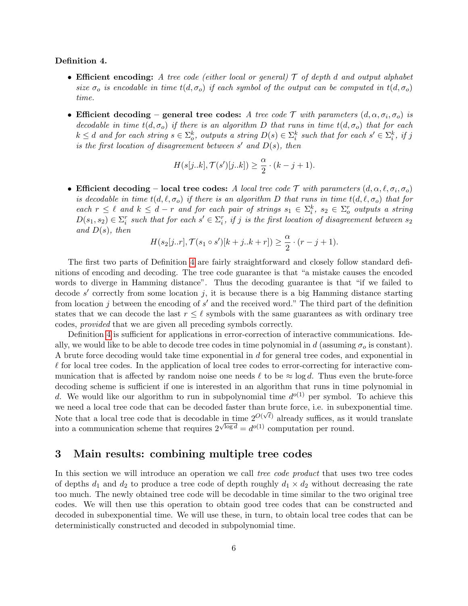#### <span id="page-5-1"></span>Definition 4.

- Efficient encoding: A tree code (either local or general)  $\mathcal T$  of depth d and output alphabet size  $\sigma_o$  is encodable in time  $t(d, \sigma_o)$  if each symbol of the output can be computed in  $t(d, \sigma_o)$ time.
- Efficient decoding general tree codes: A tree code  $\mathcal T$  with parameters  $(d, \alpha, \sigma_i, \sigma_o)$  is decodable in time  $t(d, \sigma_o)$  if there is an algorithm D that runs in time  $t(d, \sigma_o)$  that for each  $k \leq d$  and for each string  $s \in \Sigma_o^k$ , outputs a string  $D(s) \in \Sigma_i^k$  such that for each  $s' \in \Sigma_i^k$ , if j is the first location of disagreement between  $s'$  and  $D(s)$ , then

$$
H(s[j..k], \mathcal{T}(s')[j..k]) \ge \frac{\alpha}{2} \cdot (k-j+1).
$$

• Efficient decoding – local tree codes: A local tree code  $\mathcal T$  with parameters  $(d, \alpha, \ell, \sigma_i, \sigma_o)$ is decodable in time  $t(d, \ell, \sigma_o)$  if there is an algorithm D that runs in time  $t(d, \ell, \sigma_o)$  that for each  $r \leq \ell$  and  $k \leq d-r$  and for each pair of strings  $s_1 \in \Sigma_i^k$ ,  $s_2 \in \Sigma_o^r$  outputs a string  $D(s_1, s_2) \in \Sigma_i^r$  such that for each  $s' \in \Sigma_i^r$ , if j is the first location of disagreement between  $s_2$ and  $D(s)$ , then

$$
H(s_2[j..r], \mathcal{T}(s_1 \circ s')[k+j..k+r]) \ge \frac{\alpha}{2} \cdot (r-j+1).
$$

The first two parts of Definition [4](#page-5-1) are fairly straightforward and closely follow standard definitions of encoding and decoding. The tree code guarantee is that "a mistake causes the encoded words to diverge in Hamming distance". Thus the decoding guarantee is that "if we failed to decode  $s'$  correctly from some location j, it is because there is a big Hamming distance starting from location  $j$  between the encoding of  $s'$  and the received word." The third part of the definition states that we can decode the last  $r \leq \ell$  symbols with the same guarantees as with ordinary tree codes, provided that we are given all preceding symbols correctly.

Definition [4](#page-5-1) is sufficient for applications in error-correction of interactive communications. Ideally, we would like to be able to decode tree codes in time polynomial in d (assuming  $\sigma_o$  is constant). A brute force decoding would take time exponential in d for general tree codes, and exponential in  $\ell$  for local tree codes. In the application of local tree codes to error-correcting for interactive communication that is affected by random noise one needs  $\ell$  to be  $\approx \log d$ . Thus even the brute-force decoding scheme is sufficient if one is interested in an algorithm that runs in time polynomial in d. We would like our algorithm to run in subpolynomial time  $d^{o(1)}$  per symbol. To achieve this we need a local tree code that can be decoded faster than brute force, i.e. in subexponential time. Note that a local tree code that is decodable in time  $2^{O(\sqrt{\ell})}$  already suffices, as it would translate into a communication scheme that requires  $2^{\sqrt{\log d}} = d^{o(1)}$  computation per round.

# <span id="page-5-0"></span>3 Main results: combining multiple tree codes

In this section we will introduce an operation we call tree code product that uses two tree codes of depths  $d_1$  and  $d_2$  to produce a tree code of depth roughly  $d_1 \times d_2$  without decreasing the rate too much. The newly obtained tree code will be decodable in time similar to the two original tree codes. We will then use this operation to obtain good tree codes that can be constructed and decoded in subexponential time. We will use these, in turn, to obtain local tree codes that can be deterministically constructed and decoded in subpolynomial time.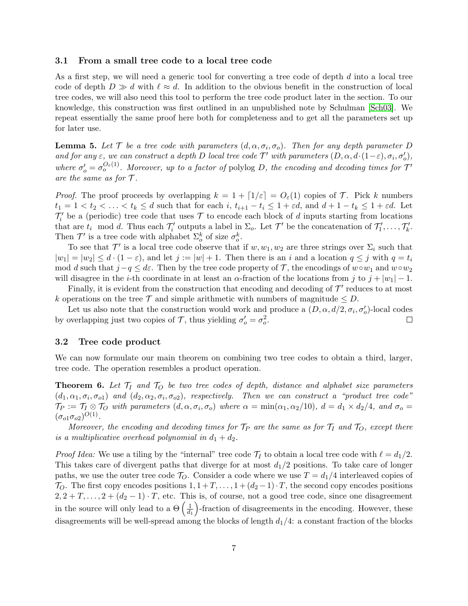### 3.1 From a small tree code to a local tree code

As a first step, we will need a generic tool for converting a tree code of depth d into a local tree code of depth  $D \gg d$  with  $\ell \approx d$ . In addition to the obvious benefit in the construction of local tree codes, we will also need this tool to perform the tree code product later in the section. To our knowledge, this construction was first outlined in an unpublished note by Schulman [\[Sch03\]](#page--1-4). We repeat essentially the same proof here both for completeness and to get all the parameters set up for later use.

<span id="page-6-1"></span>**Lemma 5.** Let  $\mathcal{T}$  be a tree code with parameters  $(d, \alpha, \sigma_i, \sigma_o)$ . Then for any depth parameter D and for any  $\varepsilon$ , we can construct a depth D local tree code  $\mathcal{T}'$  with parameters  $(D, \alpha, d \cdot (1-\varepsilon), \sigma_i, \sigma'_o)$ , where  $\sigma'_{o} = \sigma_{o}^{O_{\varepsilon}(1)}$ . Moreover, up to a factor of polylog D, the encoding and decoding times for  $\mathcal{T}'$ are the same as for  $\mathcal{T}$ .

*Proof.* The proof proceeds by overlapping  $k = 1 + \lfloor 1/\varepsilon \rfloor = O_{\varepsilon}(1)$  copies of T. Pick k numbers  $t_1 = 1 < t_2 < \ldots < t_k \le d$  such that for each i,  $t_{i+1} - t_i \le 1 + \varepsilon d$ , and  $d + 1 - t_k \le 1 + \varepsilon d$ . Let  $\mathcal{T}'_i$  be a (periodic) tree code that uses  $\mathcal T$  to encode each block of d inputs starting from locations that are  $t_i \mod d$ . Thus each  $\mathcal{T}'_i$  outputs a label in  $\Sigma_o$ . Let  $\mathcal{T}'$  be the concatenation of  $\mathcal{T}'_1, \ldots, \mathcal{T}'_k$ . Then  $\mathcal{T}'$  is a tree code with alphabet  $\Sigma_o^k$  of size  $\sigma_o^k$ .

To see that  $\mathcal{T}'$  is a local tree code observe that if  $w, w_1, w_2$  are three strings over  $\Sigma_i$  such that  $|w_1| = |w_2| \leq d \cdot (1 - \varepsilon)$ , and let  $j := |w| + 1$ . Then there is an i and a location  $q \leq j$  with  $q = t_i$ mod d such that  $j-q \leq d\varepsilon$ . Then by the tree code property of  $\mathcal{T}$ , the encodings of  $w \circ w_1$  and  $w \circ w_2$ will disagree in the *i*-th coordinate in at least an  $\alpha$ -fraction of the locations from j to  $j + |w_1| - 1$ .

Finally, it is evident from the construction that encoding and decoding of  $\mathcal{T}'$  reduces to at most k operations on the tree T and simple arithmetic with numbers of magnitude  $\leq D$ .

Let us also note that the construction would work and produce a  $(D, \alpha, d/2, \sigma_i, \sigma'_o)$ -local codes by overlapping just two copies of  $\mathcal{T}$ , thus yielding  $\sigma'_{o} = \sigma_{o}^{2}$ .  $\Box$ 

#### 3.2 Tree code product

We can now formulate our main theorem on combining two tree codes to obtain a third, larger, tree code. The operation resembles a product operation.

<span id="page-6-0"></span>**Theorem 6.** Let  $\mathcal{T}_I$  and  $\mathcal{T}_O$  be two tree codes of depth, distance and alphabet size parameters  $(d_1, \alpha_1, \sigma_i, \sigma_{o1})$  and  $(d_2, \alpha_2, \sigma_i, \sigma_{o2})$ , respectively. Then we can construct a "product tree code"  $\mathcal{T}_P := \mathcal{T}_I \otimes \mathcal{T}_O$  with parameters  $(d, \alpha, \sigma_i, \sigma_o)$  where  $\alpha = \min(\alpha_1, \alpha_2/10), d = d_1 \times d_2/4$ , and  $\sigma_o =$  $({\sigma_{o1}}{\sigma_{o2}})^{O(1)}$ .

Moreover, the encoding and decoding times for  $\mathcal{T}_P$  are the same as for  $\mathcal{T}_I$  and  $\mathcal{T}_O$ , except there is a multiplicative overhead polynomial in  $d_1 + d_2$ .

*Proof Idea:* We use a tiling by the "internal" tree code  $\mathcal{T}_I$  to obtain a local tree code with  $\ell = d_1/2$ . This takes care of divergent paths that diverge for at most  $d_1/2$  positions. To take care of longer paths, we use the outer tree code  $\mathcal{T}_O$ . Consider a code where we use  $T = d_1/4$  interleaved copies of  $\mathcal{T}_O$ . The first copy encodes positions  $1, 1 + T, \ldots, 1 + (d_2 - 1) \cdot T$ , the second copy encodes positions  $2, 2+T, \ldots, 2+(d_2-1)\cdot T$ , etc. This is, of course, not a good tree code, since one disagreement in the source will only lead to a  $\Theta\left(\frac{1}{d}\right)$  $\overline{d_1}$  -fraction of disagreements in the encoding. However, these disagreements will be well-spread among the blocks of length  $d_1/4$ : a constant fraction of the blocks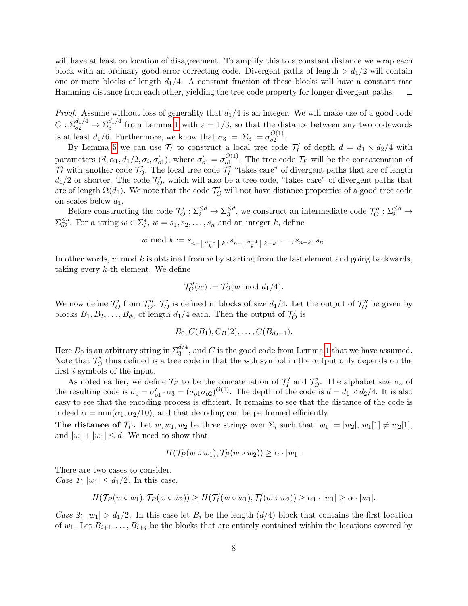will have at least on location of disagreement. To amplify this to a constant distance we wrap each block with an ordinary good error-correcting code. Divergent paths of length  $> d_1/2$  will contain one or more blocks of length  $d_1/4$ . A constant fraction of these blocks will have a constant rate Hamming distance from each other, yielding the tree code property for longer divergent paths. П

*Proof.* Assume without loss of generality that  $d_1/4$  is an integer. We will make use of a good code  $C: \Sigma_{o2}^{d_1/4} \to \Sigma_{3}^{d_1/4}$  $\frac{a_{1/4}}{3}$  from Lemma [1](#page-3-2) with  $\varepsilon = 1/3$ , so that the distance between any two codewords is at least  $d_1/6$ . Furthermore, we know that  $\sigma_3 := |\Sigma_3| = \sigma_{o2}^{O(1)}$  $\frac{O(1)}{O(2)}$ .

By Lemma [5](#page-6-1) we can use  $\mathcal{T}_I$  to construct a local tree code  $\mathcal{T}'_I$  of depth  $d = d_1 \times d_2/4$  with I parameters  $(d, \alpha_1, d_1/2, \sigma_i, \sigma'_{o1})$ , where  $\sigma'_{o1} = \sigma_{o1}^{O(1)}$  $_{01}^{\mathrm{O}(1)}$ . The tree code  $\mathcal{T}_P$  will be the concatenation of  $\mathcal{T}'_I$  with another code  $\mathcal{T}'_O$ . The local tree code  $\mathcal{T}'_I$  "takes care" of divergent paths that are of length  $d_1/2$  or shorter. The code  $\mathcal{T}'_O$ , which will also be a tree code, "takes care" of divergent paths that are of length  $\Omega(d_1)$ . We note that the code  $\mathcal{T}'_O$  will not have distance properties of a good tree code on scales below  $d_1$ .

Before constructing the code  $\mathcal{T}'_O : \Sigma_i^{\leq d} \to \Sigma_3^{\leq d}$  $\frac{\leq d}{3}$ , we construct an intermediate code  $\mathcal{T}''_O: \Sigma_i^{\leq d} \to$  $\Sigma_{\alpha2}^{\leq d}$  $\leq d \atop \delta_2}$ . For a string  $w \in \Sigma_i^*, w = s_1, s_2, \ldots, s_n$  and an integer k, define

$$
w \bmod k := s_{n-\left\lfloor \frac{n-1}{k} \right\rfloor \cdot k}, s_{n-\left\lfloor \frac{n-1}{k} \right\rfloor \cdot k + k}, \ldots, s_{n-k}, s_n.
$$

In other words,  $w \mod k$  is obtained from  $w$  by starting from the last element and going backwards, taking every k-th element. We define

$$
\mathcal{T}''_O(w) := \mathcal{T}_O(w \bmod{d_1/4}).
$$

We now define  $\mathcal{T}'_O$  from  $\mathcal{T}''_O$ .  $\mathcal{T}'_O$  is defined in blocks of size  $d_1/4$ . Let the output of  $\mathcal{T}''_O$  be given by blocks  $B_1, B_2, \ldots, B_{d_2}$  of length  $d_1/4$  each. Then the output of  $\mathcal{T}'_O$  is

$$
B_0, C(B_1), C_B(2), \ldots, C(B_{d_2-1}).
$$

Here  $B_0$  is an arbitrary string in  $\Sigma_3^{d/4}$ , and C is the good code from Lemma [1](#page-3-2) that we have assumed. Note that  $\mathcal{T}'_O$  thus defined is a tree code in that the *i*-th symbol in the output only depends on the first i symbols of the input.

As noted earlier, we define  $\mathcal{T}_P$  to be the concatenation of  $\mathcal{T}'_I$  and  $\mathcal{T}'_O$ . The alphabet size  $\sigma_o$  of the resulting code is  $\sigma_o = \sigma'_{o1} \cdot \sigma_3 = (\sigma_{o1} \sigma_{o2})^{O(1)}$ . The depth of the code is  $d = d_1 \times d_2/4$ . It is also easy to see that the encoding process is efficient. It remains to see that the distance of the code is indeed  $\alpha = \min(\alpha_1, \alpha_2/10)$ , and that decoding can be performed efficiently.

The distance of  $\mathcal{T}_P$ . Let  $w, w_1, w_2$  be three strings over  $\Sigma_i$  such that  $|w_1| = |w_2|, w_1[1] \neq w_2[1],$ and  $|w| + |w_1| \le d$ . We need to show that

$$
H(\mathcal{T}_P(w \circ w_1), \mathcal{T}_P(w \circ w_2)) \geq \alpha \cdot |w_1|.
$$

There are two cases to consider. Case 1:  $|w_1| \leq d_1/2$ . In this case,

$$
H(\mathcal{T}_P(w \circ w_1), \mathcal{T}_P(w \circ w_2)) \geq H(\mathcal{T}_I'(w \circ w_1), \mathcal{T}_I'(w \circ w_2)) \geq \alpha_1 \cdot |w_1| \geq \alpha \cdot |w_1|.
$$

Case 2:  $|w_1| > d_1/2$ . In this case let  $B_i$  be the length-(d/4) block that contains the first location of  $w_1$ . Let  $B_{i+1}, \ldots, B_{i+j}$  be the blocks that are entirely contained within the locations covered by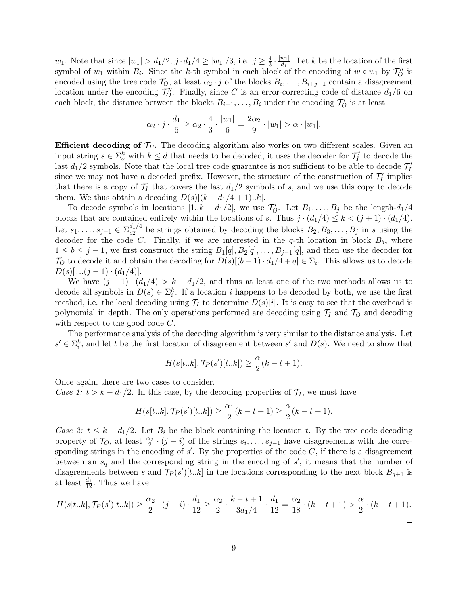*w*<sub>1</sub>. Note that since  $|w_1| > d_1/2$ ,  $j \cdot d_1/4 \ge |w_1|/3$ , i.e.  $j \ge \frac{4}{3}$  $\frac{4}{3} \cdot \frac{|w_1|}{d_1}$  $\frac{w_1}{d_1}$ . Let k be the location of the first symbol of  $w_1$  within  $B_i$ . Since the k-th symbol in each block of the encoding of  $w \circ w_1$  by  $\mathcal{T}_O''$  is encoded using the tree code  $\mathcal{T}_O$ , at least  $\alpha_2 \cdot j$  of the blocks  $B_i, \ldots, B_{i+j-1}$  contain a disagreement location under the encoding  $\mathcal{T}''_0$ . Finally, since C is an error-correcting code of distance  $d_1/6$  on each block, the distance between the blocks  $B_{i+1}, \ldots, B_i$  under the encoding  $\mathcal{T}'_O$  is at least

$$
\alpha_2 \cdot j \cdot \frac{d_1}{6} \ge \alpha_2 \cdot \frac{4}{3} \cdot \frac{|w_1|}{6} = \frac{2\alpha_2}{9} \cdot |w_1| > \alpha \cdot |w_1|.
$$

**Efficient decoding of**  $\mathcal{T}_P$ **.** The decoding algorithm also works on two different scales. Given an input string  $s \in \Sigma_o^k$  with  $k \leq d$  that needs to be decoded, it uses the decoder for  $\mathcal{T}'_I$  to decode the last  $d_1/2$  symbols. Note that the local tree code guarantee is not sufficient to be able to decode  $\mathcal{T}'_I$ since we may not have a decoded prefix. However, the structure of the construction of  $\mathcal{T}'_I$  implies that there is a copy of  $\mathcal{T}_I$  that covers the last  $d_1/2$  symbols of s, and we use this copy to decode them. We thus obtain a decoding  $D(s)[(k-d_1/4+1)...k]$ .

To decode symbols in locations  $[1..k - d_1/2]$ , we use  $\mathcal{T}'_O$ . Let  $B_1, \ldots, B_j$  be the length- $d_1/4$ blocks that are contained entirely within the locations of s. Thus  $j \cdot (d_1/4) \leq k < (j+1) \cdot (d_1/4)$ . Let  $s_1, \ldots, s_{j-1} \in \Sigma_{o2}^{d_1/4}$  $b_0^{a_1/a}$  be strings obtained by decoding the blocks  $B_2, B_3, \ldots, B_j$  in s using the decoder for the code C. Finally, if we are interested in the q-th location in block  $B_b$ , where  $1 \leq b \leq j-1$ , we first construct the string  $B_1[q], B_2[q], \ldots, B_{j-1}[q]$ , and then use the decoder for T<sub>O</sub> to decode it and obtain the decoding for  $D(s)[(b-1)\cdot d_1/4 + q] \in \Sigma_i$ . This allows us to decode  $D(s)[1..(j-1)\cdot(d_1/4)].$ 

We have  $(j-1) \cdot (d_1/4) > k - d_1/2$ , and thus at least one of the two methods allows us to decode all symbols in  $D(s) \in \Sigma_i^k$ . If a location i happens to be decoded by both, we use the first method, i.e. the local decoding using  $\mathcal{T}_I$  to determine  $D(s)[i]$ . It is easy to see that the overhead is polynomial in depth. The only operations performed are decoding using  $\mathcal{T}_I$  and  $\mathcal{T}_O$  and decoding with respect to the good code C.

The performance analysis of the decoding algorithm is very similar to the distance analysis. Let  $s' \in \Sigma_i^k$ , and let t be the first location of disagreement between s' and  $D(s)$ . We need to show that

$$
H(s[t..k], \mathcal{T}_P(s')[t..k]) \ge \frac{\alpha}{2}(k-t+1).
$$

Once again, there are two cases to consider.

Case 1:  $t > k - d_1/2$ . In this case, by the decoding properties of  $\mathcal{T}_I$ , we must have

$$
H(s[t..k], \mathcal{T}_P(s')[t..k]) \ge \frac{\alpha_1}{2}(k-t+1) \ge \frac{\alpha}{2}(k-t+1).
$$

Case 2:  $t \leq k - d_1/2$ . Let  $B_i$  be the block containing the location t. By the tree code decoding property of  $\mathcal{T}_O$ , at least  $\frac{\alpha_2}{2} \cdot (j - i)$  of the strings  $s_i, \ldots, s_{j-1}$  have disagreements with the corresponding strings in the encoding of  $s'$ . By the properties of the code  $C$ , if there is a disagreement between an  $s_q$  and the corresponding string in the encoding of  $s'$ , it means that the number of disagreements between s and  $\mathcal{T}_P(s')[t..k]$  in the locations corresponding to the next block  $B_{q+1}$  is at least  $\frac{d_1}{12}$ . Thus we have

$$
H(s[t..k], \mathcal{T}_P(s')[t..k]) \ge \frac{\alpha_2}{2} \cdot (j-i) \cdot \frac{d_1}{12} \ge \frac{\alpha_2}{2} \cdot \frac{k-t+1}{3d_1/4} \cdot \frac{d_1}{12} = \frac{\alpha_2}{18} \cdot (k-t+1) > \frac{\alpha}{2} \cdot (k-t+1).
$$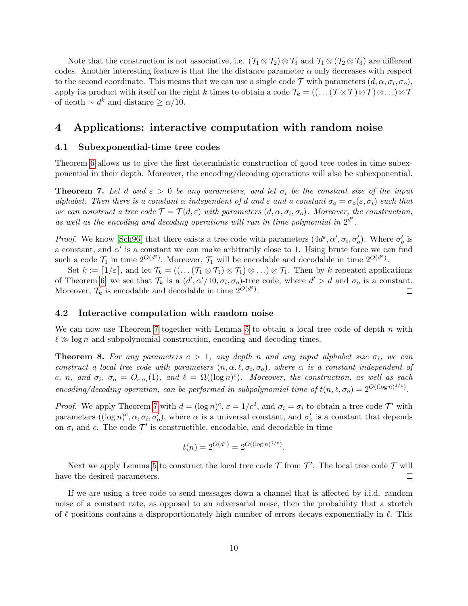Note that the construction is not associative, i.e.  $(\mathcal{T}_1 \otimes \mathcal{T}_2) \otimes \mathcal{T}_3$  and  $\mathcal{T}_1 \otimes (\mathcal{T}_2 \otimes \mathcal{T}_3)$  are different codes. Another interesting feature is that the the distance parameter  $\alpha$  only decreases with respect to the second coordinate. This means that we can use a single code  $\mathcal T$  with parameters  $(d, \alpha, \sigma_i, \sigma_o)$ , apply its product with itself on the right k times to obtain a code  $\mathcal{T}_k = ((\dots(\mathcal{T}\otimes\mathcal{T})\otimes\cdots)\otimes\mathcal{T})$ of depth  $\sim d^k$  and distance  $\geq \alpha/10$ .

### <span id="page-9-0"></span>4 Applications: interactive computation with random noise

### 4.1 Subexponential-time tree codes

Theorem [6](#page-6-0) allows us to give the first deterministic construction of good tree codes in time subexponential in their depth. Moreover, the encoding/decoding operations will also be subexponential.

<span id="page-9-1"></span>**Theorem 7.** Let d and  $\varepsilon > 0$  be any parameters, and let  $\sigma_i$  be the constant size of the input alphabet. Then there is a constant  $\alpha$  independent of d and  $\varepsilon$  and a constant  $\sigma_o = \sigma_o(\varepsilon, \sigma_i)$  such that we can construct a tree code  $\mathcal{T} = \mathcal{T}(d, \varepsilon)$  with parameters  $(d, \alpha, \sigma_i, \sigma_o)$ . Moreover, the construction, as well as the encoding and decoding operations will run in time polynomial in  $2^{d^{\varepsilon}}$ .

*Proof.* We know [\[Sch96\]](#page--1-2) that there exists a tree code with parameters  $(4d^{\varepsilon}, \alpha', \sigma_i, \sigma'_o)$ . Where  $\sigma'_o$  is a constant, and  $\alpha'$  is a constant we can make arbitrarily close to 1. Using brute force we can find such a code  $\mathcal{T}_1$  in time  $2^{O(d^{\varepsilon})}$ . Moreover,  $\mathcal{T}_1$  will be encodable and decodable in time  $2^{O(d^{\varepsilon})}$ .

Set  $k := [1/\varepsilon]$ , and let  $\mathcal{T}_k = ((\dots(\mathcal{T}_1 \otimes \mathcal{T}_1) \otimes \mathcal{T}_1) \otimes \dots) \otimes \mathcal{T}_1$ . Then by k repeated applications of Theorem [6,](#page-6-0) we see that  $\mathcal{T}_k$  is a  $(d', \alpha'/10, \sigma_i, \sigma_o)$ -tree code, where  $d' > d$  and  $\sigma_o$  is a constant. Moreover,  $\mathcal{T}_k$  is encodable and decodable in time  $2^{O(d^{\varepsilon})}$ .  $\Box$ 

### 4.2 Interactive computation with random noise

We can now use Theorem [7](#page-9-1) together with Lemma [5](#page-6-1) to obtain a local tree code of depth  $n$  with  $\ell \gg \log n$  and subpolynomial construction, encoding and decoding times.

<span id="page-9-2"></span>**Theorem 8.** For any parameters  $c > 1$ , any depth n and any input alphabet size  $\sigma_i$ , we can construct a local tree code with parameters  $(n, \alpha, \ell, \sigma_i, \sigma_o)$ , where  $\alpha$  is a constant independent of c, n, and  $\sigma_i$ ,  $\sigma_o = O_{c,\sigma_i}(1)$ , and  $\ell = \Omega((\log n)^c)$ . Moreover, the construction, as well as each encoding/decoding operation, can be performed in subpolynomial time of  $t(n, \ell, \sigma_o) = 2^{O((\log n)^{1/c})}$ .

*Proof.* We apply Theorem [7](#page-9-1) with  $d = (\log n)^c$ ,  $\varepsilon = 1/c^2$ , and  $\sigma_i = \sigma_i$  to obtain a tree code  $\mathcal{T}'$  with parameters  $((\log n)^c, \alpha, \sigma_i, \sigma'_o)$ , where  $\alpha$  is a universal constant, and  $\sigma'_o$  is a constant that depends on  $\sigma_i$  and c. The code  $\mathcal{T}'$  is constructible, encodable, and decodable in time

$$
t(n) = 2^{O(d^{\varepsilon})} = 2^{O((\log n)^{1/c})}.
$$

Next we apply Lemma [5](#page-6-1) to construct the local tree code  $\mathcal T$  from  $\mathcal T'$ . The local tree code  $\mathcal T$  will have the desired parameters.  $\Box$ 

If we are using a tree code to send messages down a channel that is affected by i.i.d. random noise of a constant rate, as opposed to an adversarial noise, then the probability that a stretch of  $\ell$  positions contains a disproportionately high number of errors decays exponentially in  $\ell$ . This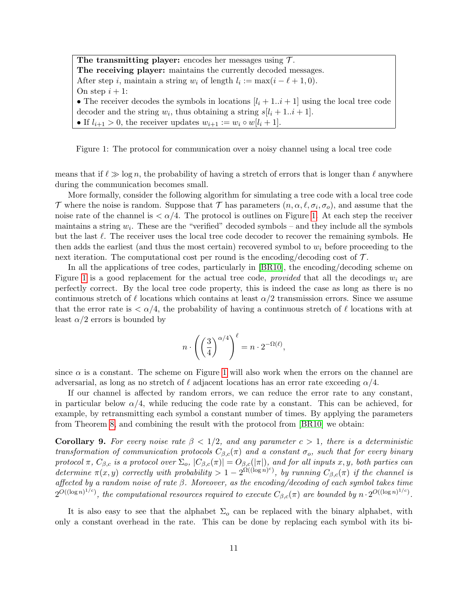The transmitting player: encodes her messages using  $\mathcal{T}$ . The receiving player: maintains the currently decoded messages. After step *i*, maintain a string  $w_i$  of length  $l_i := \max(i - \ell + 1, 0)$ . On step  $i + 1$ : • The receiver decodes the symbols in locations  $[l_i + 1..i + 1]$  using the local tree code decoder and the string  $w_i$ , thus obtaining a string  $s[l_i + 1..i + 1]$ . • If  $l_{i+1} > 0$ , the receiver updates  $w_{i+1} := w_i \circ w[i_i + 1]$ .

<span id="page-10-1"></span>Figure 1: The protocol for communication over a noisy channel using a local tree code

means that if  $\ell \gg \log n$ , the probability of having a stretch of errors that is longer than  $\ell$  anywhere during the communication becomes small.

More formally, consider the following algorithm for simulating a tree code with a local tree code T where the noise is random. Suppose that T has parameters  $(n, \alpha, \ell, \sigma_i, \sigma_o)$ , and assume that the noise rate of the channel is  $\langle \alpha/4$ . The protocol is outlines on Figure [1.](#page-10-1) At each step the receiver maintains a string  $w_i$ . These are the "verified" decoded symbols – and they include all the symbols but the last  $\ell$ . The receiver uses the local tree code decoder to recover the remaining symbols. He then adds the earliest (and thus the most certain) recovered symbol to  $w_i$  before proceeding to the next iteration. The computational cost per round is the encoding/decoding cost of  $\mathcal{T}$ .

In all the applications of tree codes, particularly in [\[BR10\]](#page--1-3), the encoding/decoding scheme on Figure [1](#page-10-1) is a good replacement for the actual tree code, *provided* that all the decodings  $w_i$  are perfectly correct. By the local tree code property, this is indeed the case as long as there is no continuous stretch of  $\ell$  locations which contains at least  $\alpha/2$  transmission errors. Since we assume that the error rate is  $\langle \alpha/4, \alpha \rangle$  the probability of having a continuous stretch of  $\ell$  locations with at least  $\alpha/2$  errors is bounded by

$$
n \cdot \left( \left( \frac{3}{4} \right)^{\alpha/4} \right)^{\ell} = n \cdot 2^{-\Omega(\ell)},
$$

since  $\alpha$  is a constant. The scheme on Figure [1](#page-10-1) will also work when the errors on the channel are adversarial, as long as no stretch of  $\ell$  adjacent locations has an error rate exceeding  $\alpha/4$ .

If our channel is affected by random errors, we can reduce the error rate to any constant, in particular below  $\alpha/4$ , while reducing the code rate by a constant. This can be achieved, for example, by retransmitting each symbol a constant number of times. By applying the parameters from Theorem [8,](#page-9-2) and combining the result with the protocol from [\[BR10\]](#page--1-3) we obtain:

<span id="page-10-0"></span>**Corollary 9.** For every noise rate  $\beta < 1/2$ , and any parameter  $c > 1$ , there is a deterministic transformation of communication protocols  $C_{\beta,c}(\pi)$  and a constant  $\sigma_o$ , such that for every binary protocol π,  $C_{\beta,c}$  is a protocol over  $\Sigma_o$ ,  $|C_{\beta,c}(\pi)| = O_{\beta,c}(|\pi|)$ , and for all inputs x, y, both parties can determine  $\pi(x, y)$  correctly with probability  $> 1-2^{\Omega((\log n)^c)}$ , by running  $C_{\beta,c}(\pi)$  if the channel is affected by a random noise of rate β. Moreover, as the encoding/decoding of each symbol takes time  $2^{O((\log n)^{1/c})}$ , the computational resources required to execute  $C_{\beta,c}(\pi)$  are bounded by  $n \cdot 2^{O((\log n)^{1/c})}$ .

It is also easy to see that the alphabet  $\Sigma_o$  can be replaced with the binary alphabet, with only a constant overhead in the rate. This can be done by replacing each symbol with its bi